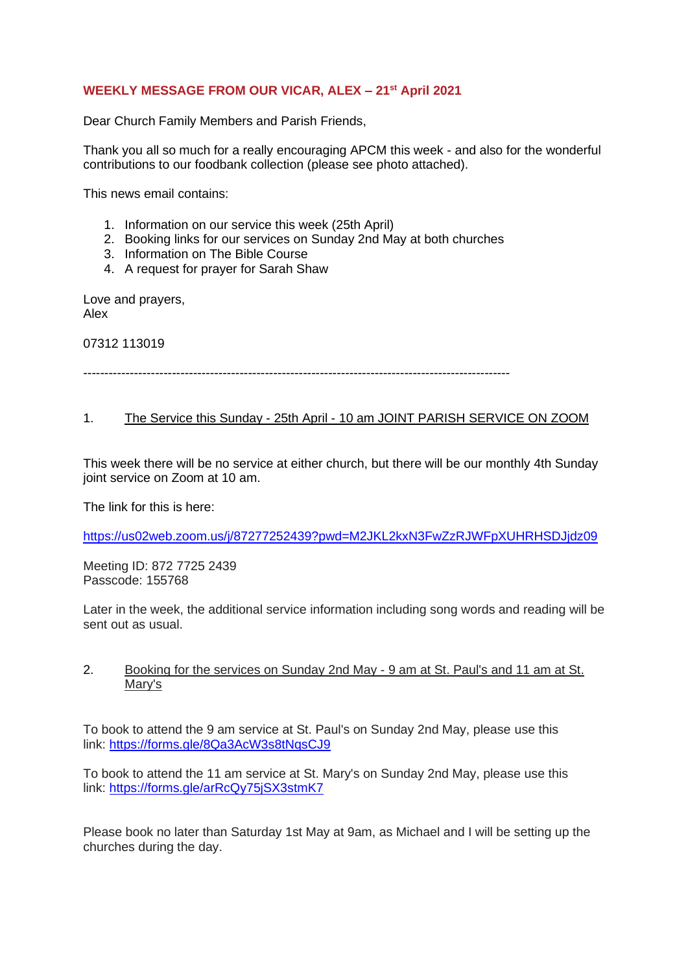# **WEEKLY MESSAGE FROM OUR VICAR, ALEX – 21st April 2021**

Dear Church Family Members and Parish Friends,

Thank you all so much for a really encouraging APCM this week - and also for the wonderful contributions to our foodbank collection (please see photo attached).

This news email contains:

- 1. Information on our service this week (25th April)
- 2. Booking links for our services on Sunday 2nd May at both churches
- 3. Information on The Bible Course
- 4. A request for prayer for Sarah Shaw

Love and prayers, Alex

07312 113019

-----------------------------------------------------------------------------------------------------

## 1. The Service this Sunday - 25th April - 10 am JOINT PARISH SERVICE ON ZOOM

This week there will be no service at either church, but there will be our monthly 4th Sunday joint service on Zoom at 10 am.

The link for this is here:

<https://us02web.zoom.us/j/87277252439?pwd=M2JKL2kxN3FwZzRJWFpXUHRHSDJjdz09>

Meeting ID: 872 7725 2439 Passcode: 155768

Later in the week, the additional service information including song words and reading will be sent out as usual.

### 2. Booking for the services on Sunday 2nd May - 9 am at St. Paul's and 11 am at St. Mary's

To book to attend the 9 am service at St. Paul's on Sunday 2nd May, please use this link: <https://forms.gle/8Qa3AcW3s8tNqsCJ9>

To book to attend the 11 am service at St. Mary's on Sunday 2nd May, please use this link: <https://forms.gle/arRcQy75jSX3stmK7>

Please book no later than Saturday 1st May at 9am, as Michael and I will be setting up the churches during the day.